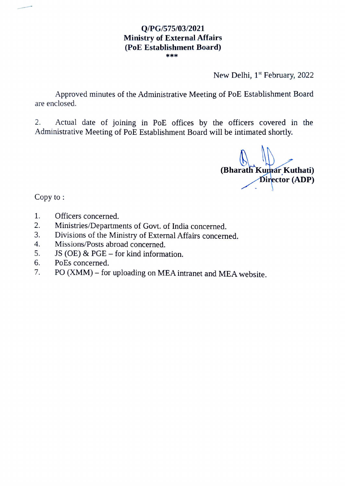#### Q/PG/575/03/2021 Ministry of External Affairs (PoE Establishment Board) \*\*\*

New Delhi, 1<sup>st</sup> February, 2022

Approved minutes of the Administrative Meeting of PoE Establishment Board are enclosed.

Actual date of joining in PoE offices by the officers covered in the Administrative Meeting of PoE Establishment Board will be intimated shortly. 2.

(Bharath Kumar Kuthati)<br>Director (ADP)

Copy to:

- 1. Officers concerned.
- Ministries/Departments of Govt. of India concerned. 2.
- Divisions of the Ministry of External Affairs concerned. 3.
- Missions/Posts abroad concerned. 4.
- 5. JS (OE) & PGE  $-$  for kind information.
- 6. PoEs concerned.
- 7. PO (XMM) for uploading on MEA intranet and MEA website.